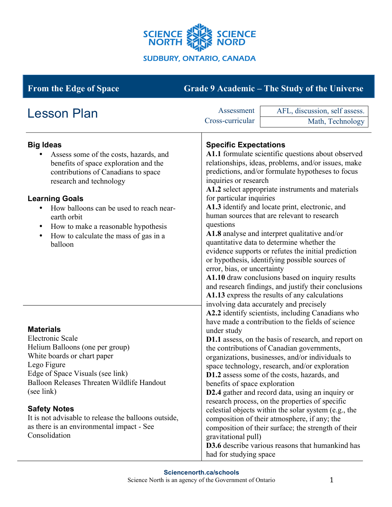

# **From the Edge of Space Grade 9 Academic – The Study of the Universe**

| <b>Lesson Plan</b>                                                                                                                                                                                                                                                                                                                                                            | Assessment                                                                                                                                                                                                                                                                                                                                                                                                                                                                                                                                                                                                                                                                                                                                                                                                                                                                                                                                                                                                                                                                                                                                                                                                                                                                                                                                                                                                                                                                                                                                                                                                                                                                   | AFL, discussion, self assess. |
|-------------------------------------------------------------------------------------------------------------------------------------------------------------------------------------------------------------------------------------------------------------------------------------------------------------------------------------------------------------------------------|------------------------------------------------------------------------------------------------------------------------------------------------------------------------------------------------------------------------------------------------------------------------------------------------------------------------------------------------------------------------------------------------------------------------------------------------------------------------------------------------------------------------------------------------------------------------------------------------------------------------------------------------------------------------------------------------------------------------------------------------------------------------------------------------------------------------------------------------------------------------------------------------------------------------------------------------------------------------------------------------------------------------------------------------------------------------------------------------------------------------------------------------------------------------------------------------------------------------------------------------------------------------------------------------------------------------------------------------------------------------------------------------------------------------------------------------------------------------------------------------------------------------------------------------------------------------------------------------------------------------------------------------------------------------------|-------------------------------|
|                                                                                                                                                                                                                                                                                                                                                                               | Cross-curricular                                                                                                                                                                                                                                                                                                                                                                                                                                                                                                                                                                                                                                                                                                                                                                                                                                                                                                                                                                                                                                                                                                                                                                                                                                                                                                                                                                                                                                                                                                                                                                                                                                                             | Math, Technology              |
| <b>Big Ideas</b><br>Assess some of the costs, hazards, and<br>benefits of space exploration and the<br>contributions of Canadians to space<br>research and technology<br><b>Learning Goals</b><br>How balloons can be used to reach near-<br>earth orbit<br>How to make a reasonable hypothesis<br>$\bullet$<br>How to calculate the mass of gas in a<br>$\bullet$<br>balloon | <b>Specific Expectations</b><br>A1.1 formulate scientific questions about observed<br>relationships, ideas, problems, and/or issues, make<br>predictions, and/or formulate hypotheses to focus<br>inquiries or research<br>A1.2 select appropriate instruments and materials<br>for particular inquiries<br>A1.3 identify and locate print, electronic, and<br>human sources that are relevant to research<br>questions<br>A1.8 analyse and interpret qualitative and/or<br>quantitative data to determine whether the<br>evidence supports or refutes the initial prediction<br>or hypothesis, identifying possible sources of<br>error, bias, or uncertainty<br>A1.10 draw conclusions based on inquiry results<br>and research findings, and justify their conclusions<br>A1.13 express the results of any calculations<br>involving data accurately and precisely<br>A2.2 identify scientists, including Canadians who<br>have made a contribution to the fields of science<br>under study<br>D1.1 assess, on the basis of research, and report on<br>the contributions of Canadian governments,<br>organizations, businesses, and/or individuals to<br>space technology, research, and/or exploration<br>D1.2 assess some of the costs, hazards, and<br>benefits of space exploration<br>D2.4 gather and record data, using an inquiry or<br>research process, on the properties of specific<br>celestial objects within the solar system (e.g., the<br>composition of their atmosphere, if any; the<br>composition of their surface; the strength of their<br>gravitational pull)<br><b>D3.6</b> describe various reasons that humankind has<br>had for studying space |                               |
| <b>Materials</b><br><b>Electronic Scale</b><br>Helium Balloons (one per group)<br>White boards or chart paper<br>Lego Figure<br>Edge of Space Visuals (see link)<br>Balloon Releases Threaten Wildlife Handout<br>(see link)<br><b>Safety Notes</b><br>It is not advisable to release the balloons outside,<br>as there is an environmental impact - See<br>Consolidation     |                                                                                                                                                                                                                                                                                                                                                                                                                                                                                                                                                                                                                                                                                                                                                                                                                                                                                                                                                                                                                                                                                                                                                                                                                                                                                                                                                                                                                                                                                                                                                                                                                                                                              |                               |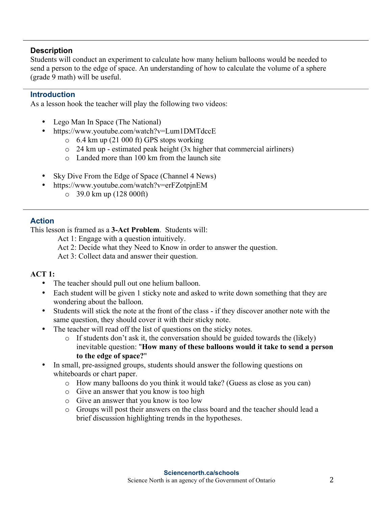## **Description**

Students will conduct an experiment to calculate how many helium balloons would be needed to send a person to the edge of space. An understanding of how to calculate the volume of a sphere (grade 9 math) will be useful.

#### **Introduction**

As a lesson hook the teacher will play the following two videos:

- Lego Man In Space (The National)
- https://www.youtube.com/watch?v=Lum1DMTdccE
	- $\circ$  6.4 km up (21 000 ft) GPS stops working
	- o 24 km up estimated peak height (3x higher that commercial airliners)
	- o Landed more than 100 km from the launch site
- Sky Dive From the Edge of Space (Channel 4 News)
- https://www.youtube.com/watch?v=erFZotpjnEM
	- o 39.0 km up (128 000ft)

## **Action**

This lesson is framed as a **3-Act Problem**. Students will:

Act 1: Engage with a question intuitively.

Act 2: Decide what they Need to Know in order to answer the question.

Act 3: Collect data and answer their question.

#### **ACT 1:**

- The teacher should pull out one helium balloon.
- Each student will be given 1 sticky note and asked to write down something that they are wondering about the balloon.
- Students will stick the note at the front of the class if they discover another note with the same question, they should cover it with their sticky note.
- The teacher will read off the list of questions on the sticky notes.
	- $\circ$  If students don't ask it, the conversation should be guided towards the (likely) inevitable question: "**How many of these balloons would it take to send a person to the edge of space?**"
- In small, pre-assigned groups, students should answer the following questions on whiteboards or chart paper.
	- o How many balloons do you think it would take? (Guess as close as you can)
	- o Give an answer that you know is too high
	- o Give an answer that you know is too low
	- o Groups will post their answers on the class board and the teacher should lead a brief discussion highlighting trends in the hypotheses.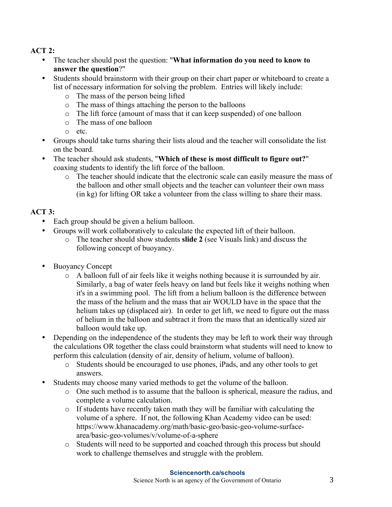# **ACT 2:**

- The teacher should post the question: "**What information do you need to know to answer the question**?"
- Students should brainstorm with their group on their chart paper or whiteboard to create a list of necessary information for solving the problem. Entries will likely include:
	- o The mass of the person being lifted
	- o The mass of things attaching the person to the balloons
	- o The lift force (amount of mass that it can keep suspended) of one balloon
	- o The mass of one balloon
	- o etc.
- Groups should take turns sharing their lists aloud and the teacher will consolidate the list on the board.
- The teacher should ask students, "**Which of these is most difficult to figure out?**" coaxing students to identify the lift force of the balloon.
	- o The teacher should indicate that the electronic scale can easily measure the mass of the balloon and other small objects and the teacher can volunteer their own mass (in kg) for lifting OR take a volunteer from the class willing to share their mass.

# **ACT 3:**

- Each group should be given a helium balloon.
- Groups will work collaboratively to calculate the expected lift of their balloon.
	- o The teacher should show students **slide 2** (see Visuals link) and discuss the following concept of buoyancy.
- Buoyancy Concept
	- o A balloon full of air feels like it weighs nothing because it is surrounded by air. Similarly, a bag of water feels heavy on land but feels like it weighs nothing when it's in a swimming pool. The lift from a helium balloon is the difference between the mass of the helium and the mass that air WOULD have in the space that the helium takes up (displaced air). In order to get lift, we need to figure out the mass of helium in the balloon and subtract it from the mass that an identically sized air balloon would take up.
- Depending on the independence of the students they may be left to work their way through the calculations OR together the class could brainstorm what students will need to know to perform this calculation (density of air, density of helium, volume of balloon).
	- o Students should be encouraged to use phones, iPads, and any other tools to get answers.
- Students may choose many varied methods to get the volume of the balloon.
	- o One such method is to assume that the balloon is spherical, measure the radius, and complete a volume calculation.
	- o If students have recently taken math they will be familiar with calculating the volume of a sphere. If not, the following Khan Academy video can be used: https://www.khanacademy.org/math/basic-geo/basic-geo-volume-surfacearea/basic-geo-volumes/v/volume-of-a-sphere
	- o Students will need to be supported and coached through this process but should work to challenge themselves and struggle with the problem.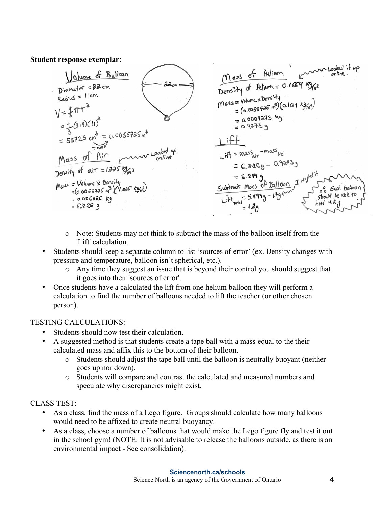#### **Student response exemplar:**



- o Note: Students may not think to subtract the mass of the balloon itself from the 'Lift' calculation.
- Students should keep a separate column to list 'sources of error' (ex. Density changes with pressure and temperature, balloon isn't spherical, etc.).
	- o Any time they suggest an issue that is beyond their control you should suggest that it goes into their 'sources of error'.
- Once students have a calculated the lift from one helium balloon they will perform a calculation to find the number of balloons needed to lift the teacher (or other chosen person).

#### TESTING CALCULATIONS:

- Students should now test their calculation.
- A suggested method is that students create a tape ball with a mass equal to the their calculated mass and affix this to the bottom of their balloon.
	- o Students should adjust the tape ball until the balloon is neutrally buoyant (neither goes up nor down).
	- o Students will compare and contrast the calculated and measured numbers and speculate why discrepancies might exist.

# CLASS TEST:

- As a class, find the mass of a Lego figure. Groups should calculate how many balloons would need to be affixed to create neutral buoyancy.
- As a class, choose a number of balloons that would make the Lego figure fly and test it out in the school gym! (NOTE: It is not advisable to release the balloons outside, as there is an environmental impact - See consolidation).